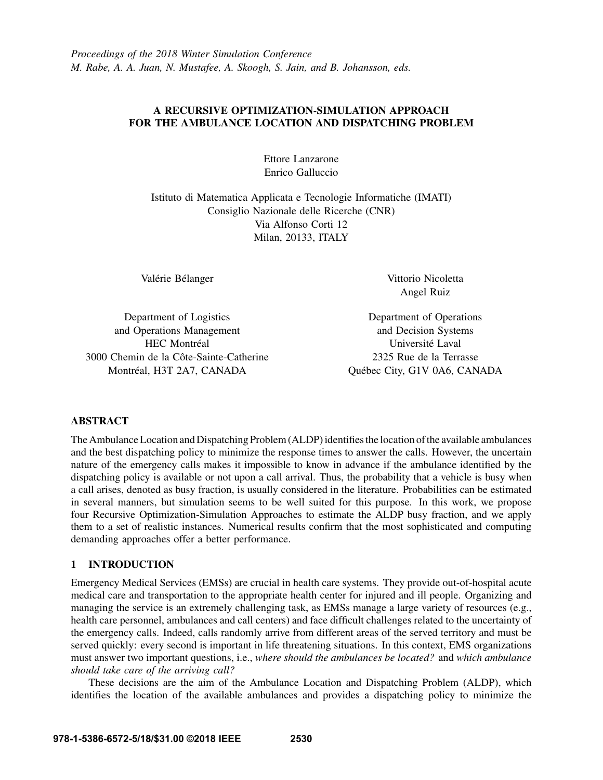# A RECURSIVE OPTIMIZATION-SIMULATION APPROACH FOR THE AMBULANCE LOCATION AND DISPATCHING PROBLEM

Ettore Lanzarone Enrico Galluccio

Istituto di Matematica Applicata e Tecnologie Informatiche (IMATI) Consiglio Nazionale delle Ricerche (CNR) Via Alfonso Corti 12 Milan, 20133, ITALY

Valérie Bélanger

Vittorio Nicoletta Angel Ruiz

Department of Logistics and Operations Management HEC Montréal 3000 Chemin de la Côte-Sainte-Catherine Montréal, H3T 2A7, CANADA

Department of Operations and Decision Systems Universite Laval ´ 2325 Rue de la Terrasse Quebec City, G1V 0A6, CANADA ´

# ABSTRACT

The Ambulance Location and Dispatching Problem (ALDP) identifies the location of the available ambulances and the best dispatching policy to minimize the response times to answer the calls. However, the uncertain nature of the emergency calls makes it impossible to know in advance if the ambulance identified by the dispatching policy is available or not upon a call arrival. Thus, the probability that a vehicle is busy when a call arises, denoted as busy fraction, is usually considered in the literature. Probabilities can be estimated in several manners, but simulation seems to be well suited for this purpose. In this work, we propose four Recursive Optimization-Simulation Approaches to estimate the ALDP busy fraction, and we apply them to a set of realistic instances. Numerical results confirm that the most sophisticated and computing demanding approaches offer a better performance.

## 1 INTRODUCTION

Emergency Medical Services (EMSs) are crucial in health care systems. They provide out-of-hospital acute medical care and transportation to the appropriate health center for injured and ill people. Organizing and managing the service is an extremely challenging task, as EMSs manage a large variety of resources (e.g., health care personnel, ambulances and call centers) and face difficult challenges related to the uncertainty of the emergency calls. Indeed, calls randomly arrive from different areas of the served territory and must be served quickly: every second is important in life threatening situations. In this context, EMS organizations must answer two important questions, i.e., *where should the ambulances be located?* and *which ambulance should take care of the arriving call?*

These decisions are the aim of the Ambulance Location and Dispatching Problem (ALDP), which identifies the location of the available ambulances and provides a dispatching policy to minimize the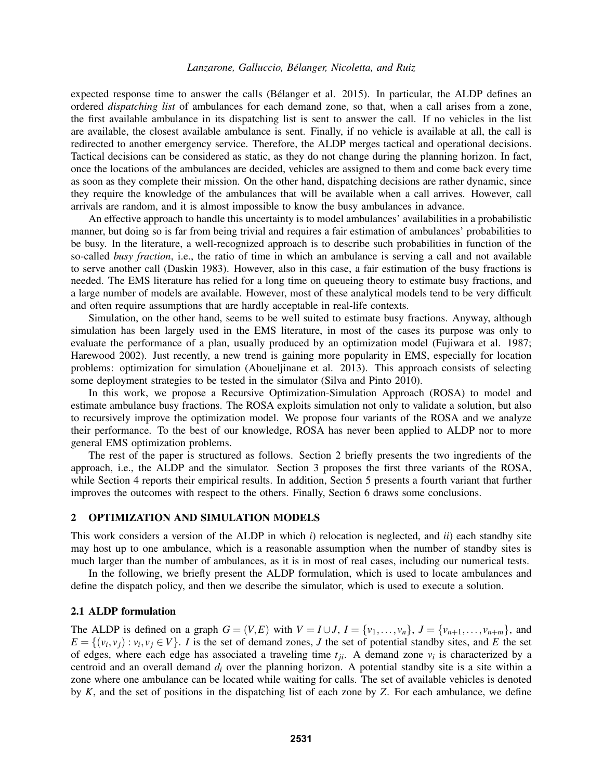expected response time to answer the calls (Bélanger et al. 2015). In particular, the ALDP defines an ordered *dispatching list* of ambulances for each demand zone, so that, when a call arises from a zone, the first available ambulance in its dispatching list is sent to answer the call. If no vehicles in the list are available, the closest available ambulance is sent. Finally, if no vehicle is available at all, the call is redirected to another emergency service. Therefore, the ALDP merges tactical and operational decisions. Tactical decisions can be considered as static, as they do not change during the planning horizon. In fact, once the locations of the ambulances are decided, vehicles are assigned to them and come back every time as soon as they complete their mission. On the other hand, dispatching decisions are rather dynamic, since they require the knowledge of the ambulances that will be available when a call arrives. However, call arrivals are random, and it is almost impossible to know the busy ambulances in advance.

An effective approach to handle this uncertainty is to model ambulances' availabilities in a probabilistic manner, but doing so is far from being trivial and requires a fair estimation of ambulances' probabilities to be busy. In the literature, a well-recognized approach is to describe such probabilities in function of the so-called *busy fraction*, i.e., the ratio of time in which an ambulance is serving a call and not available to serve another call (Daskin 1983). However, also in this case, a fair estimation of the busy fractions is needed. The EMS literature has relied for a long time on queueing theory to estimate busy fractions, and a large number of models are available. However, most of these analytical models tend to be very difficult and often require assumptions that are hardly acceptable in real-life contexts.

Simulation, on the other hand, seems to be well suited to estimate busy fractions. Anyway, although simulation has been largely used in the EMS literature, in most of the cases its purpose was only to evaluate the performance of a plan, usually produced by an optimization model (Fujiwara et al. 1987; Harewood 2002). Just recently, a new trend is gaining more popularity in EMS, especially for location problems: optimization for simulation (Aboueljinane et al. 2013). This approach consists of selecting some deployment strategies to be tested in the simulator (Silva and Pinto 2010).

In this work, we propose a Recursive Optimization-Simulation Approach (ROSA) to model and estimate ambulance busy fractions. The ROSA exploits simulation not only to validate a solution, but also to recursively improve the optimization model. We propose four variants of the ROSA and we analyze their performance. To the best of our knowledge, ROSA has never been applied to ALDP nor to more general EMS optimization problems.

The rest of the paper is structured as follows. Section 2 briefly presents the two ingredients of the approach, i.e., the ALDP and the simulator. Section 3 proposes the first three variants of the ROSA, while Section 4 reports their empirical results. In addition, Section 5 presents a fourth variant that further improves the outcomes with respect to the others. Finally, Section 6 draws some conclusions.

## 2 OPTIMIZATION AND SIMULATION MODELS

This work considers a version of the ALDP in which *i*) relocation is neglected, and *ii*) each standby site may host up to one ambulance, which is a reasonable assumption when the number of standby sites is much larger than the number of ambulances, as it is in most of real cases, including our numerical tests.

In the following, we briefly present the ALDP formulation, which is used to locate ambulances and define the dispatch policy, and then we describe the simulator, which is used to execute a solution.

## 2.1 ALDP formulation

The ALDP is defined on a graph  $G = (V, E)$  with  $V = I \cup J$ ,  $I = \{v_1, \ldots, v_n\}$ ,  $J = \{v_{n+1}, \ldots, v_{n+m}\}$ , and  $E = \{(v_i, v_j) : v_i, v_j \in V\}$ . *I* is the set of demand zones, *J* the set of potential standby sites, and *E* the set of edges, where each edge has associated a traveling time  $t_{ji}$ . A demand zone  $v_i$  is characterized by a centroid and an overall demand *d<sup>i</sup>* over the planning horizon. A potential standby site is a site within a zone where one ambulance can be located while waiting for calls. The set of available vehicles is denoted by *K*, and the set of positions in the dispatching list of each zone by *Z*. For each ambulance, we define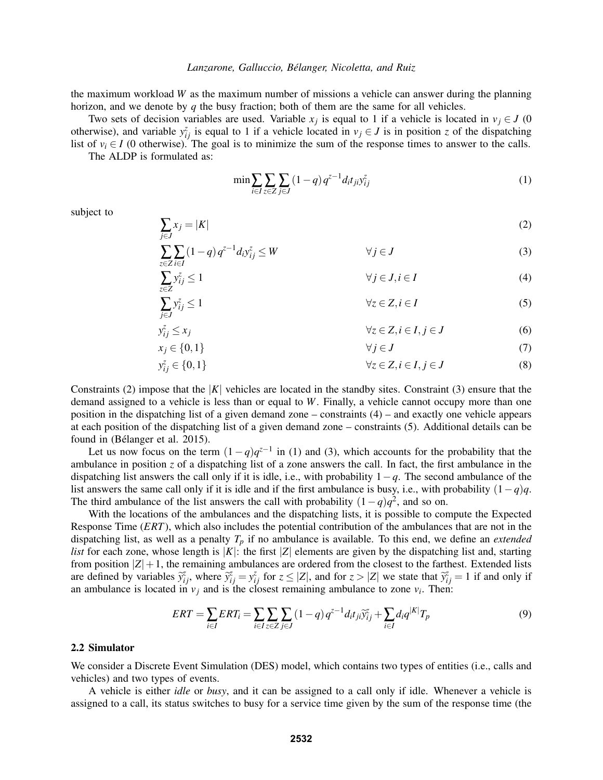the maximum workload *W* as the maximum number of missions a vehicle can answer during the planning horizon, and we denote by *q* the busy fraction; both of them are the same for all vehicles.

Two sets of decision variables are used. Variable  $x_j$  is equal to 1 if a vehicle is located in  $v_j \in J$  (0 otherwise), and variable  $y_{ij}^z$  is equal to 1 if a vehicle located in  $v_j \in J$  is in position *z* of the dispatching list of  $v_i \in I$  (0 otherwise). The goal is to minimize the sum of the response times to answer to the calls. The ALDP is formulated as:

$$
\min \sum_{i \in I} \sum_{z \in Z} \sum_{j \in J} (1 - q) q^{z - 1} d_i t_{ji} y_{ij}^z
$$
\n(1)

subject to

$$
\sum_{j \in J} x_j = |K| \tag{2}
$$

$$
\sum_{z \in Z} \sum_{i \in I} (1 - q) q^{z - 1} d_i y_{ij}^z \le W \qquad \forall j \in J
$$
\n(3)

$$
\sum_{z \in Z} y_{ij}^z \le 1 \qquad \forall j \in J, i \in I \tag{4}
$$
\n
$$
\sum_{z \in Z} y_{ij}^z \le 1 \qquad \forall z \in Z, i \in I \tag{5}
$$

$$
\overline{j \in J}
$$
\n
$$
\forall z \in Z, i \in I, j \in J
$$
\n
$$
(6)
$$

$$
x_j \in \{0, 1\} \qquad \forall j \in J \tag{7}
$$

$$
y_{ij}^z \in \{0, 1\} \qquad \forall z \in Z, i \in I, j \in J \tag{8}
$$

Constraints (2) impose that the  $|K|$  vehicles are located in the standby sites. Constraint (3) ensure that the demand assigned to a vehicle is less than or equal to *W*. Finally, a vehicle cannot occupy more than one position in the dispatching list of a given demand zone – constraints (4) – and exactly one vehicle appears at each position of the dispatching list of a given demand zone – constraints (5). Additional details can be found in (Bélanger et al. 2015).

Let us now focus on the term  $(1-q)q^{z-1}$  in (1) and (3), which accounts for the probability that the ambulance in position *z* of a dispatching list of a zone answers the call. In fact, the first ambulance in the dispatching list answers the call only if it is idle, i.e., with probability 1−*q*. The second ambulance of the list answers the same call only if it is idle and if the first ambulance is busy, i.e., with probability (1−*q*)*q*. The third ambulance of the list answers the call with probability  $(1-q)q^2$ , and so on.

With the locations of the ambulances and the dispatching lists, it is possible to compute the Expected Response Time (*ERT*), which also includes the potential contribution of the ambulances that are not in the dispatching list, as well as a penalty *T<sup>p</sup>* if no ambulance is available. To this end, we define an *extended list* for each zone, whose length is  $|K|$ : the first  $|Z|$  elements are given by the dispatching list and, starting from position  $|Z|+1$ , the remaining ambulances are ordered from the closest to the farthest. Extended lists are defined by variables  $\widetilde{y}_{ij}^z$ , where  $\widetilde{y}_{ij}^z = y_{ij}^z$  for  $z \le |Z|$ , and for  $z > |Z|$  we state that  $\widetilde{y}_{ij}^z = 1$  if and only if an ambulance is located in  $v_j$  and is the closest remaining ambulance to zone  $v_i$ . Then:

$$
ERT = \sum_{i \in I} ERT_i = \sum_{i \in I} \sum_{z \in Z} \sum_{j \in J} (1 - q) q^{z - 1} d_i t_{ji} \tilde{y}_{ij}^z + \sum_{i \in I} d_i q^{|K|} T_p
$$
(9)

#### 2.2 Simulator

We consider a Discrete Event Simulation (DES) model, which contains two types of entities (i.e., calls and vehicles) and two types of events.

A vehicle is either *idle* or *busy*, and it can be assigned to a call only if idle. Whenever a vehicle is assigned to a call, its status switches to busy for a service time given by the sum of the response time (the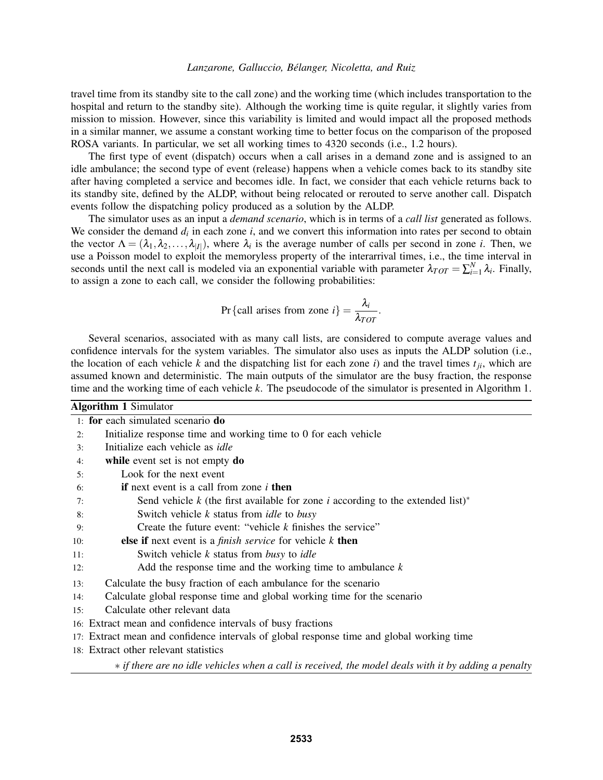travel time from its standby site to the call zone) and the working time (which includes transportation to the hospital and return to the standby site). Although the working time is quite regular, it slightly varies from mission to mission. However, since this variability is limited and would impact all the proposed methods in a similar manner, we assume a constant working time to better focus on the comparison of the proposed ROSA variants. In particular, we set all working times to 4320 seconds (i.e., 1.2 hours).

The first type of event (dispatch) occurs when a call arises in a demand zone and is assigned to an idle ambulance; the second type of event (release) happens when a vehicle comes back to its standby site after having completed a service and becomes idle. In fact, we consider that each vehicle returns back to its standby site, defined by the ALDP, without being relocated or rerouted to serve another call. Dispatch events follow the dispatching policy produced as a solution by the ALDP.

The simulator uses as an input a *demand scenario*, which is in terms of a *call list* generated as follows. We consider the demand  $d_i$  in each zone  $i$ , and we convert this information into rates per second to obtain the vector  $\Lambda = (\lambda_1, \lambda_2, \ldots, \lambda_{|I|})$ , where  $\lambda_i$  is the average number of calls per second in zone *i*. Then, we use a Poisson model to exploit the memoryless property of the interarrival times, i.e., the time interval in seconds until the next call is modeled via an exponential variable with parameter  $\lambda_{TOT} = \sum_{i=1}^{N} \lambda_i$ . Finally, to assign a zone to each call, we consider the following probabilities:

$$
Pr{call arises from zone } i} = \frac{\lambda_i}{\lambda_{TOT}}.
$$

Several scenarios, associated with as many call lists, are considered to compute average values and confidence intervals for the system variables. The simulator also uses as inputs the ALDP solution (i.e., the location of each vehicle  $k$  and the dispatching list for each zone  $i$ ) and the travel times  $t_{ij}$ , which are assumed known and deterministic. The main outputs of the simulator are the busy fraction, the response time and the working time of each vehicle *k*. The pseudocode of the simulator is presented in Algorithm 1.

Algorithm 1 Simulator 1: for each simulated scenario do 2: Initialize response time and working time to 0 for each vehicle 3: Initialize each vehicle as *idle* 4: while event set is not empty do 5: Look for the next event 6: if next event is a call from zone *i* then 7: Send vehicle *k* (the first available for zone *i* according to the extended list)<sup>∗</sup> 8: Switch vehicle *k* status from *idle* to *busy* 9: Create the future event: "vehicle *k* finishes the service" 10: else if next event is a *finish service* for vehicle *k* then 11: Switch vehicle *k* status from *busy* to *idle* 12: Add the response time and the working time to ambulance *k* 13: Calculate the busy fraction of each ambulance for the scenario 14: Calculate global response time and global working time for the scenario 15: Calculate other relevant data 16: Extract mean and confidence intervals of busy fractions 17: Extract mean and confidence intervals of global response time and global working time 18: Extract other relevant statistics ∗ *if there are no idle vehicles when a call is received, the model deals with it by adding a penalty*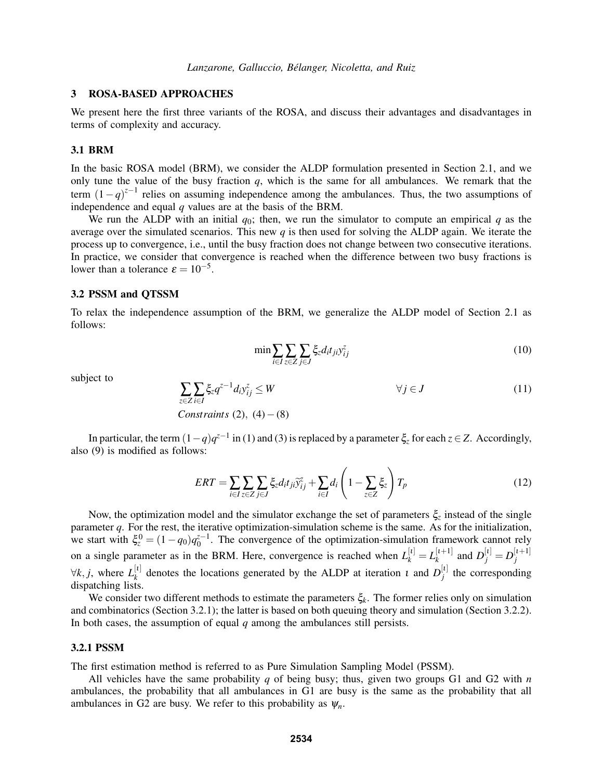## 3 ROSA-BASED APPROACHES

We present here the first three variants of the ROSA, and discuss their advantages and disadvantages in terms of complexity and accuracy.

#### 3.1 BRM

In the basic ROSA model (BRM), we consider the ALDP formulation presented in Section 2.1, and we only tune the value of the busy fraction *q*, which is the same for all ambulances. We remark that the term  $(1-q)^{z-1}$  relies on assuming independence among the ambulances. Thus, the two assumptions of independence and equal *q* values are at the basis of the BRM.

We run the ALDP with an initial  $q_0$ ; then, we run the simulator to compute an empirical q as the average over the simulated scenarios. This new *q* is then used for solving the ALDP again. We iterate the process up to convergence, i.e., until the busy fraction does not change between two consecutive iterations. In practice, we consider that convergence is reached when the difference between two busy fractions is lower than a tolerance  $\varepsilon = 10^{-5}$ .

## 3.2 PSSM and QTSSM

To relax the independence assumption of the BRM, we generalize the ALDP model of Section 2.1 as follows:

$$
\min \sum_{i \in I} \sum_{z \in Z} \sum_{j \in J} \xi_z d_i t_{ji} y_{ij}^z \tag{10}
$$

subject to

$$
\sum_{z \in Z} \sum_{i \in I} \xi_z q^{z-1} d_i y_{ij}^z \le W \qquad \forall j \in J \tag{11}
$$
\n
$$
Constraints (2), (4) - (8)
$$

In particular, the term  $(1-q)q^{z-1}$  in (1) and (3) is replaced by a parameter  $\xi_z$  for each  $z \in Z$ . Accordingly, also (9) is modified as follows:

$$
ERT = \sum_{i \in I} \sum_{z \in Z} \sum_{j \in J} \xi_z d_i t_{ji} \widetilde{y}_{ij}^z + \sum_{i \in I} d_i \left( 1 - \sum_{z \in Z} \xi_z \right) T_p \tag{12}
$$

Now, the optimization model and the simulator exchange the set of parameters ξ*<sup>z</sup>* instead of the single parameter *q*. For the rest, the iterative optimization-simulation scheme is the same. As for the initialization, we start with  $\xi_z^0 = (1 - q_0)q_0^{z-1}$ . The convergence of the optimization-simulation framework cannot rely on a single parameter as in the BRM. Here, convergence is reached when  $L_k^{[1]} = L_k^{[1+1]}$  $a_k^{[t+1]}$  and  $D_j^{[t]} = D_j^{[t+1]}$ *j*  $∀k, j,$  where  $L_k^{[t]}$ <sup>[*ι*]</sup> denotes the locations generated by the ALDP at iteration *ι* and  $D_j^{[t]}$  $j$ <sup>t<sub>j</sub></sup> the corresponding dispatching lists.

We consider two different methods to estimate the parameters ξ*k*. The former relies only on simulation and combinatorics (Section 3.2.1); the latter is based on both queuing theory and simulation (Section 3.2.2). In both cases, the assumption of equal  $q$  among the ambulances still persists.

### 3.2.1 PSSM

The first estimation method is referred to as Pure Simulation Sampling Model (PSSM).

All vehicles have the same probability *q* of being busy; thus, given two groups G1 and G2 with *n* ambulances, the probability that all ambulances in G1 are busy is the same as the probability that all ambulances in G2 are busy. We refer to this probability as  $\psi_n$ .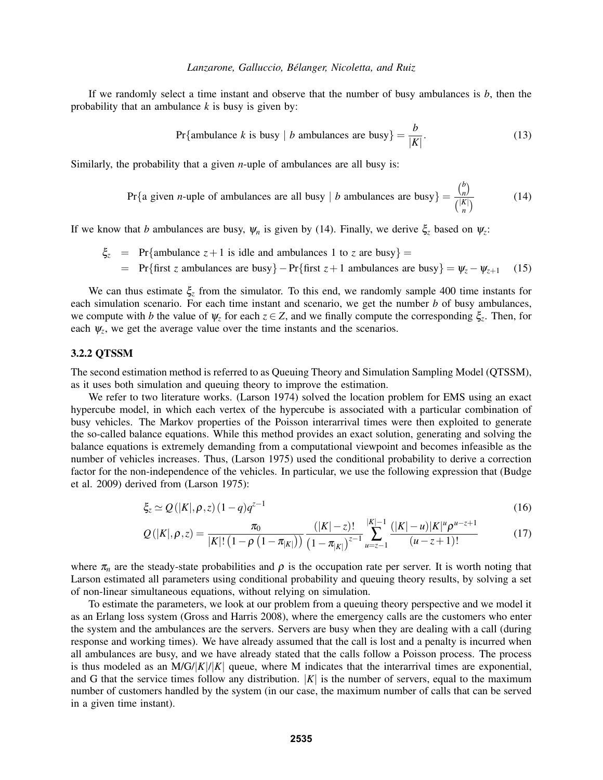If we randomly select a time instant and observe that the number of busy ambulances is *b*, then the probability that an ambulance *k* is busy is given by:

$$
Pr{\text{ambulance } k \text{ is busy } | b \text{ ambulances are busy}} = \frac{b}{|K|}.
$$
 (13)

Similarly, the probability that a given *n*-uple of ambulances are all busy is:

Pr{a given *n*-uple of ambulances are all busy | *b* ambulances are busy} = 
$$
\frac{\binom{b}{n}}{\binom{|K|}{n}}
$$
(14)

If we know that *b* ambulances are busy,  $\psi_n$  is given by (14). Finally, we derive  $\xi_z$  based on  $\psi_z$ :

 $\xi$ <sub>z</sub> = Pr{ambulance *z* + 1 is idle and ambulances 1 to *z* are busy} =  $=$  Pr{first *z* ambulances are busy} – Pr{first *z* + 1 ambulances are busy}  $= \psi_z - \psi_{z+1}$  (15)

We can thus estimate ξ*<sup>z</sup>* from the simulator. To this end, we randomly sample 400 time instants for each simulation scenario. For each time instant and scenario, we get the number *b* of busy ambulances, we compute with *b* the value of  $\psi_z$  for each  $z \in Z$ , and we finally compute the corresponding  $\xi_z$ . Then, for each  $\psi_z$ , we get the average value over the time instants and the scenarios.

## 3.2.2 QTSSM

The second estimation method is referred to as Queuing Theory and Simulation Sampling Model (QTSSM), as it uses both simulation and queuing theory to improve the estimation.

We refer to two literature works. (Larson 1974) solved the location problem for EMS using an exact hypercube model, in which each vertex of the hypercube is associated with a particular combination of busy vehicles. The Markov properties of the Poisson interarrival times were then exploited to generate the so-called balance equations. While this method provides an exact solution, generating and solving the balance equations is extremely demanding from a computational viewpoint and becomes infeasible as the number of vehicles increases. Thus, (Larson 1975) used the conditional probability to derive a correction factor for the non-independence of the vehicles. In particular, we use the following expression that (Budge et al. 2009) derived from (Larson 1975):

$$
\xi_z \simeq Q(|K|, \rho, z)(1-q)q^{z-1} \tag{16}
$$

$$
Q(|K|, \rho, z) = \frac{\pi_0}{|K|! \left(1 - \rho \left(1 - \pi_{|K|}\right)\right)} \frac{(|K| - z)!}{\left(1 - \pi_{|K|}\right)^{z-1}} \sum_{u = z-1}^{|K| - 1} \frac{(|K| - u)|K|^u \rho^{u - z + 1}}{(u - z + 1)!}
$$
(17)

where  $\pi_n$  are the steady-state probabilities and  $\rho$  is the occupation rate per server. It is worth noting that Larson estimated all parameters using conditional probability and queuing theory results, by solving a set of non-linear simultaneous equations, without relying on simulation.

To estimate the parameters, we look at our problem from a queuing theory perspective and we model it as an Erlang loss system (Gross and Harris 2008), where the emergency calls are the customers who enter the system and the ambulances are the servers. Servers are busy when they are dealing with a call (during response and working times). We have already assumed that the call is lost and a penalty is incurred when all ambulances are busy, and we have already stated that the calls follow a Poisson process. The process is thus modeled as an  $M/G/|K|/|K|$  queue, where M indicates that the interarrival times are exponential, and G that the service times follow any distribution.  $|K|$  is the number of servers, equal to the maximum number of customers handled by the system (in our case, the maximum number of calls that can be served in a given time instant).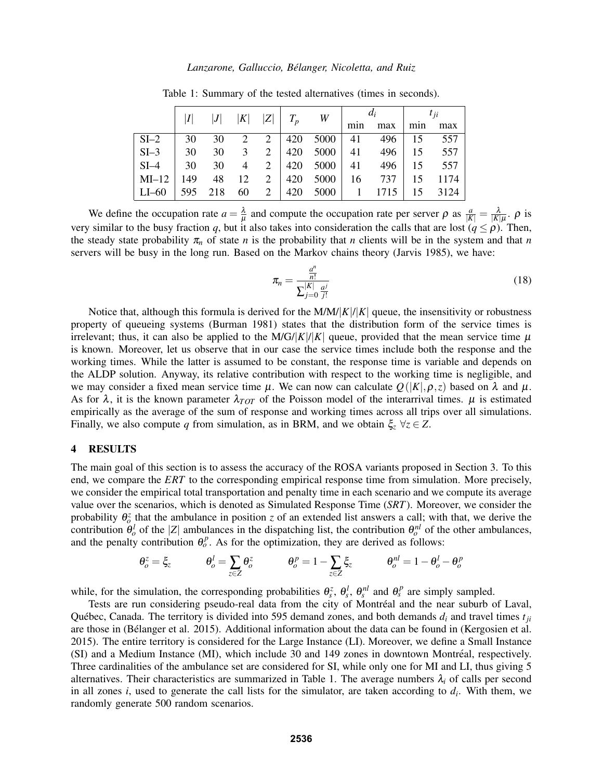|                                                                |  |  |                                  | $ I $  J   K   Z    $T_p$   $W$   $\begin{array}{c c} d_i & d_{ij} & d_{ij} \\ \hline \min \max \min \max \end{array}$ |  |  |  |
|----------------------------------------------------------------|--|--|----------------------------------|------------------------------------------------------------------------------------------------------------------------|--|--|--|
|                                                                |  |  |                                  |                                                                                                                        |  |  |  |
| $SI-2$                                                         |  |  | 30 30 2 2 420 5000 41 496 15 557 |                                                                                                                        |  |  |  |
| $SI-3$   30 30 3 2   420 5000   41 496   15 557                |  |  |                                  |                                                                                                                        |  |  |  |
| $SI-4$   30 30 4 2   420 5000   41 496   15 557                |  |  |                                  |                                                                                                                        |  |  |  |
| MI-12   149 48 12 2   420 5000   16 737   15 1174              |  |  |                                  |                                                                                                                        |  |  |  |
| LI-60   595   218   60   2   420   5000   1   1715   15   3124 |  |  |                                  |                                                                                                                        |  |  |  |

Table 1: Summary of the tested alternatives (times in seconds).

We define the occupation rate  $a = \frac{\lambda}{\mu}$  $\frac{\lambda}{\mu}$  and compute the occupation rate per server  $\rho$  as  $\frac{a}{|K|} = \frac{\lambda}{|K|\mu}$ .  $\rho$  is very similar to the busy fraction *q*, but it also takes into consideration the calls that are lost  $(q \le \rho)$ . Then, the steady state probability  $\pi_n$  of state *n* is the probability that *n* clients will be in the system and that *n* servers will be busy in the long run. Based on the Markov chains theory (Jarvis 1985), we have:

$$
\pi_n = \frac{\frac{a^n}{n!}}{\sum_{j=0}^{|K|} \frac{a^j}{j!}}
$$
\n(18)

Notice that, although this formula is derived for the  $M/M/|K|/|K|$  queue, the insensitivity or robustness property of queueing systems (Burman 1981) states that the distribution form of the service times is irrelevant; thus, it can also be applied to the  $M/G/|K|$  queue, provided that the mean service time  $\mu$ is known. Moreover, let us observe that in our case the service times include both the response and the working times. While the latter is assumed to be constant, the response time is variable and depends on the ALDP solution. Anyway, its relative contribution with respect to the working time is negligible, and we may consider a fixed mean service time  $\mu$ . We can now can calculate  $Q(|K|, \rho, z)$  based on  $\lambda$  and  $\mu$ . As for  $\lambda$ , it is the known parameter  $\lambda_{TOT}$  of the Poisson model of the interarrival times.  $\mu$  is estimated empirically as the average of the sum of response and working times across all trips over all simulations. Finally, we also compute *q* from simulation, as in BRM, and we obtain  $\xi_z \ \forall z \in Z$ .

### 4 RESULTS

The main goal of this section is to assess the accuracy of the ROSA variants proposed in Section 3. To this end, we compare the *ERT* to the corresponding empirical response time from simulation. More precisely, we consider the empirical total transportation and penalty time in each scenario and we compute its average value over the scenarios, which is denoted as Simulated Response Time (*SRT*). Moreover, we consider the probability  $\theta_o^z$  that the ambulance in position *z* of an extended list answers a call; with that, we derive the contribution  $\theta_o^l$  of the |*Z*| ambulances in the dispatching list, the contribution  $\theta_o^{nl}$  of the other ambulances, and the penalty contribution  $\theta_o^p$ . As for the optimization, they are derived as follows:

$$
\theta_o^z = \xi_z \qquad \qquad \theta_o^l = \sum_{z \in Z} \theta_o^z \qquad \qquad \theta_o^p = 1 - \sum_{z \in Z} \xi_z \qquad \qquad \theta_o^{nl} = 1 - \theta_o^l - \theta_o^p
$$

while, for the simulation, the corresponding probabilities  $\theta_s^z$ ,  $\theta_s^l$ ,  $\theta_s^{nl}$  and  $\theta_s^p$  are simply sampled.

Tests are run considering pseudo-real data from the city of Montreal and the near suburb of Laval, ´ Québec, Canada. The territory is divided into 595 demand zones, and both demands  $d_i$  and travel times  $t_{ji}$ are those in (Bélanger et al. 2015). Additional information about the data can be found in (Kergosien et al. 2015). The entire territory is considered for the Large Instance (LI). Moreover, we define a Small Instance (SI) and a Medium Instance (MI), which include 30 and 149 zones in downtown Montreal, respectively. ´ Three cardinalities of the ambulance set are considered for SI, while only one for MI and LI, thus giving 5 alternatives. Their characteristics are summarized in Table 1. The average numbers  $\lambda_i$  of calls per second in all zones *i*, used to generate the call lists for the simulator, are taken according to *d<sup>i</sup>* . With them, we randomly generate 500 random scenarios.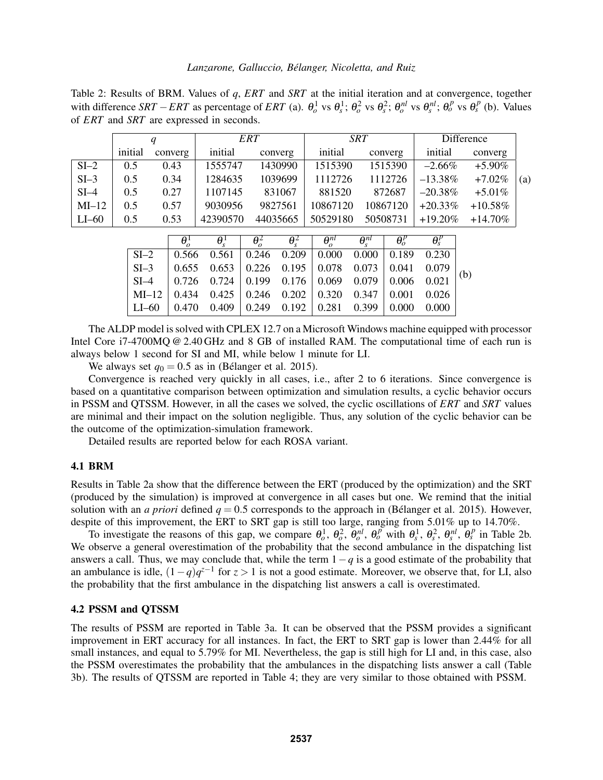Table 2: Results of BRM. Values of *q*, *ERT* and *SRT* at the initial iteration and at convergence, together with difference SRT – ERT as percentage of ERT (a).  $\theta_o^1$  vs  $\theta_s^1$ ;  $\theta_o^2$  vs  $\theta_s^2$ ;  $\theta_o^{nl}$  vs  $\theta_s^{nl}$ ;  $\theta_o^p$  vs  $\theta_s^p$  (b). Values of *ERT* and *SRT* are expressed in seconds.

|          |         |         |          | ERT      | <b>SRT</b> |          | Difference |            |     |
|----------|---------|---------|----------|----------|------------|----------|------------|------------|-----|
|          | initial | converg | initial  | converg  | initial    | converg  | initial    | converg    |     |
| $SI-2$   | 0.5     | 0.43    | 1555747  | 1430990  | 1515390    | 1515390  | $-2.66\%$  | $+5.90\%$  |     |
| $SI-3$   | 0.5     | 0.34    | 1284635  | 1039699  | 1112726    | 1112726  | $-13.38\%$ | $+7.02\%$  | (a) |
| $SI-4$   | 0.5     | 0.27    | 1107145  | 831067   | 881520     | 872687   | $-20.38%$  | $+5.01\%$  |     |
| $MI-12$  | 0.5     | 0.57    | 9030956  | 9827561  | 10867120   | 10867120 | $+20.33%$  | $+10.58\%$ |     |
| $LI$ –60 | 0.5     | 0.53    | 42390570 | 44035665 | 50529180   | 50508731 | $+19.20\%$ | $+14.70\%$ |     |

|                                                                                                                                                                                                                                         | $\theta_{\circ}^1$ $\theta_{\circ}^1$ $\theta_{\circ}^2$ $\theta_{\circ}^2$ $\theta_{\circ}^{nl}$ $\theta_{\circ}^{nl}$ $\theta_{\circ}^p$ $\theta_{\circ}^p$ $\theta_{\circ}^p$ |  |  |  |  |
|-----------------------------------------------------------------------------------------------------------------------------------------------------------------------------------------------------------------------------------------|----------------------------------------------------------------------------------------------------------------------------------------------------------------------------------|--|--|--|--|
| $\vert$ SI-2 $\vert$ 0.566 0.561 $\vert$ 0.246 0.209 $\vert$ 0.000 0.000 $\vert$ 0.189 0.230                                                                                                                                            |                                                                                                                                                                                  |  |  |  |  |
| $\begin{array}{ c c c c c c c c c c c } \hline \text{SI--3} & 0.655 & 0.653 & 0.226 & 0.195 & 0.078 & 0.073 & 0.041 & 0.079 \ \hline \text{SI--4} & 0.726 & 0.724 & 0.199 & 0.176 & 0.069 & 0.079 & 0.006 & 0.021 \ \hline \end{array}$ |                                                                                                                                                                                  |  |  |  |  |
|                                                                                                                                                                                                                                         |                                                                                                                                                                                  |  |  |  |  |
|                                                                                                                                                                                                                                         |                                                                                                                                                                                  |  |  |  |  |
| LI-60   0.470 0.409   0.249 0.192   0.281 0.399   0.000 0.000                                                                                                                                                                           |                                                                                                                                                                                  |  |  |  |  |

The ALDP model is solved with CPLEX 12.7 on a Microsoft Windows machine equipped with processor Intel Core i7-4700MQ @ 2.40 GHz and 8 GB of installed RAM. The computational time of each run is always below 1 second for SI and MI, while below 1 minute for LI.

We always set  $q_0 = 0.5$  as in (Bélanger et al. 2015).

Convergence is reached very quickly in all cases, i.e., after 2 to 6 iterations. Since convergence is based on a quantitative comparison between optimization and simulation results, a cyclic behavior occurs in PSSM and QTSSM. However, in all the cases we solved, the cyclic oscillations of *ERT* and *SRT* values are minimal and their impact on the solution negligible. Thus, any solution of the cyclic behavior can be the outcome of the optimization-simulation framework.

Detailed results are reported below for each ROSA variant.

# 4.1 BRM

Results in Table 2a show that the difference between the ERT (produced by the optimization) and the SRT (produced by the simulation) is improved at convergence in all cases but one. We remind that the initial solution with an *a priori* defined  $q = 0.5$  corresponds to the approach in (Bélanger et al. 2015). However, despite of this improvement, the ERT to SRT gap is still too large, ranging from 5.01% up to 14.70%.

To investigate the reasons of this gap, we compare  $\theta_o^1$ ,  $\theta_o^2$ ,  $\theta_o^{nl}$ ,  $\theta_o^p$  with  $\theta_s^1$ ,  $\theta_s^2$ ,  $\theta_s^{nl}$ ,  $\theta_s^p$  in Table 2b. We observe a general overestimation of the probability that the second ambulance in the dispatching list answers a call. Thus, we may conclude that, while the term  $1-q$  is a good estimate of the probability that an ambulance is idle,  $(1-q)q^{z-1}$  for  $z > 1$  is not a good estimate. Moreover, we observe that, for LI, also the probability that the first ambulance in the dispatching list answers a call is overestimated.

## 4.2 PSSM and QTSSM

The results of PSSM are reported in Table 3a. It can be observed that the PSSM provides a significant improvement in ERT accuracy for all instances. In fact, the ERT to SRT gap is lower than 2.44% for all small instances, and equal to 5.79% for MI. Nevertheless, the gap is still high for LI and, in this case, also the PSSM overestimates the probability that the ambulances in the dispatching lists answer a call (Table 3b). The results of QTSSM are reported in Table 4; they are very similar to those obtained with PSSM.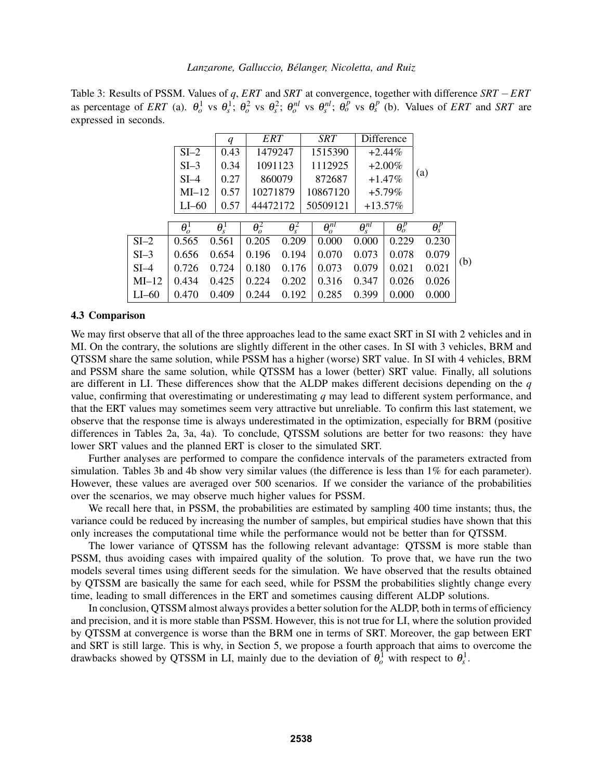|                       | Table 3: Results of PSSM. Values of q, ERT and SRT at convergence, together with difference $SRT - ERT$                                                                                  |
|-----------------------|------------------------------------------------------------------------------------------------------------------------------------------------------------------------------------------|
|                       | as percentage of ERT (a). $\theta_o^1$ vs $\theta_s^1$ ; $\theta_o^2$ vs $\theta_s^2$ ; $\theta_o^{nl}$ vs $\theta_s^{nl}$ ; $\theta_o^p$ vs $\theta_s^p$ (b). Values of ERT and SRT are |
| expressed in seconds. |                                                                                                                                                                                          |

|        |              | $\boldsymbol{q}$ | ERT                     |                         |        | <b>SRT</b>                 |                            | Difference              |                         |     |
|--------|--------------|------------------|-------------------------|-------------------------|--------|----------------------------|----------------------------|-------------------------|-------------------------|-----|
|        | $SI-2$       | 0.43             | 1479247                 |                         |        | 1515390                    |                            | $+2.44%$                |                         |     |
|        | $SI-3$       | 0.34             | 1091123                 |                         |        | 1112925                    |                            | $+2.00\%$               |                         |     |
|        | $SI-4$       | 0.27             | 860079                  |                         | 872687 |                            |                            | $+1.47%$                | (a)                     |     |
|        | $MI-12$      | 0.57             | 10271879                |                         |        | 10867120                   |                            | $+5.79%$                |                         |     |
|        | $LI$ –60     | 0.57             | 44472172                |                         |        | 50509121                   | $+13.57\%$                 |                         |                         |     |
|        |              |                  |                         |                         |        |                            |                            |                         |                         |     |
|        | $\theta_o^1$ | $\theta_s^1$     | $\overline{\theta_o^2}$ | $\overline{\theta_s^2}$ |        | $\overline{\theta_o^{nl}}$ | $\overline{\theta_s^{nl}}$ | $\overline{\theta_o^p}$ | $\overline{\theta_s^p}$ |     |
| $SI-2$ | 0.565        | 0.561            | 0.205                   | 0.209                   |        | 0.000                      | 0.000                      | 0.229                   | 0.230                   |     |
| $SI-3$ | 0.656        | 0.654            | 0.196                   | 0.194                   |        | 0.070                      | 0.073                      | 0.078                   | 0.079                   |     |
| $SI-4$ | 0.726        | 0.724            | 0.180                   | 0.176                   |        | 0.073                      | 0.079                      | 0.021                   | 0.021                   | (b) |
| MI–12  | 0.434        | 0.425            | 0.224                   | 0.202                   |        | 0.316                      | 0.347                      | 0.026                   | 0.026                   |     |
| LI–60  | 0.470        | 0.409            | 0.244                   | 0.192                   |        | 0.285                      | 0.399                      | 0.000                   | 0.000                   |     |
|        |              |                  |                         |                         |        |                            |                            |                         |                         |     |

## 4.3 Comparison

We may first observe that all of the three approaches lead to the same exact SRT in SI with 2 vehicles and in MI. On the contrary, the solutions are slightly different in the other cases. In SI with 3 vehicles, BRM and QTSSM share the same solution, while PSSM has a higher (worse) SRT value. In SI with 4 vehicles, BRM and PSSM share the same solution, while QTSSM has a lower (better) SRT value. Finally, all solutions are different in LI. These differences show that the ALDP makes different decisions depending on the *q* value, confirming that overestimating or underestimating *q* may lead to different system performance, and that the ERT values may sometimes seem very attractive but unreliable. To confirm this last statement, we observe that the response time is always underestimated in the optimization, especially for BRM (positive differences in Tables 2a, 3a, 4a). To conclude, QTSSM solutions are better for two reasons: they have lower SRT values and the planned ERT is closer to the simulated SRT.

Further analyses are performed to compare the confidence intervals of the parameters extracted from simulation. Tables 3b and 4b show very similar values (the difference is less than 1% for each parameter). However, these values are averaged over 500 scenarios. If we consider the variance of the probabilities over the scenarios, we may observe much higher values for PSSM.

We recall here that, in PSSM, the probabilities are estimated by sampling 400 time instants; thus, the variance could be reduced by increasing the number of samples, but empirical studies have shown that this only increases the computational time while the performance would not be better than for QTSSM.

The lower variance of QTSSM has the following relevant advantage: QTSSM is more stable than PSSM, thus avoiding cases with impaired quality of the solution. To prove that, we have run the two models several times using different seeds for the simulation. We have observed that the results obtained by QTSSM are basically the same for each seed, while for PSSM the probabilities slightly change every time, leading to small differences in the ERT and sometimes causing different ALDP solutions.

In conclusion, QTSSM almost always provides a better solution for the ALDP, both in terms of efficiency and precision, and it is more stable than PSSM. However, this is not true for LI, where the solution provided by QTSSM at convergence is worse than the BRM one in terms of SRT. Moreover, the gap between ERT and SRT is still large. This is why, in Section 5, we propose a fourth approach that aims to overcome the drawbacks showed by QTSSM in LI, mainly due to the deviation of  $\theta_o^1$  with respect to  $\theta_s^1$ .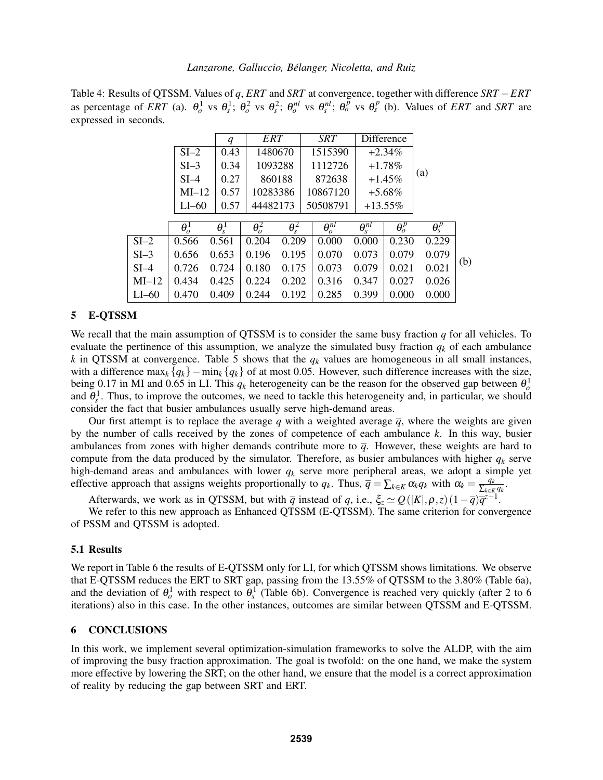Table 4: Results of QTSSM. Values of *q*, *ERT* and *SRT* at convergence, together with difference *SRT* −*ERT* as percentage of ERT (a).  $\theta_o^1$  vs  $\theta_s^1$ ;  $\theta_o^2$  vs  $\theta_s^2$ ;  $\theta_o^{nl}$  vs  $\theta_s^{nl}$ ;  $\theta_o^p$  vs  $\theta_s^p$  (b). Values of ERT and SRT are expressed in seconds.

|        |              | $\boldsymbol{q}$ | ERT                     |                         | <b>SRT</b>                 |                            | Difference              |                         |     |
|--------|--------------|------------------|-------------------------|-------------------------|----------------------------|----------------------------|-------------------------|-------------------------|-----|
|        | $SI-2$       | 0.43             | 1480670                 |                         | 1515390                    |                            | $+2.34\%$               |                         |     |
|        | $SI-3$       | 0.34             |                         | 1093288                 | 1112726                    |                            | $+1.78\%$               |                         |     |
|        | $SI-4$       | 0.27             |                         | 860188                  | 872638                     |                            | $+1.45%$                | (a)                     |     |
|        | $MI-12$      | 0.57             | 10283386                |                         | 10867120                   |                            | $+5.68\%$               |                         |     |
|        | $LI$ –60     | 0.57             | 44482173                |                         | 50508791                   |                            | $+13.55\%$              |                         |     |
|        |              |                  |                         |                         |                            |                            |                         |                         |     |
|        | $\theta_o^1$ | $\theta_s^1$     | $\overline{\theta_o^2}$ | $\overline{\theta_s^2}$ | $\overline{\theta^{nl}_a}$ | $\overline{\theta_s^{nl}}$ | $\overline{\theta^p_o}$ | $\overline{\theta^p_s}$ |     |
| $SI-2$ | 0.566        | 0.561            | 0.204                   | 0.209                   | 0.000                      | 0.000                      | 0.230                   | 0.229                   |     |
| $SI-3$ | 0.656        | 0.653            | 0.196                   | 0.195                   | 0.070                      | 0.073                      | 0.079                   | 0.079                   |     |
| $SI-4$ | 0.726        | 0.724            | 0.180                   | 0.175                   | 0.073                      | 0.079                      | 0.021                   | 0.021                   | (b) |
| MI–12  | 0.434        | 0.425            | 0.224                   | 0.202                   | 0.316                      | 0.347                      | 0.027                   | 0.026                   |     |
| LI-60  | 0.470        | 0.409            | 0.244                   | 0.192                   | 0.285                      | 0.399                      | 0.000                   | 0.000                   |     |
|        |              |                  |                         |                         |                            |                            |                         |                         |     |

# 5 E-QTSSM

We recall that the main assumption of QTSSM is to consider the same busy fraction *q* for all vehicles. To evaluate the pertinence of this assumption, we analyze the simulated busy fraction  $q_k$  of each ambulance *k* in QTSSM at convergence. Table 5 shows that the  $q_k$  values are homogeneous in all small instances, with a difference max<sub>*k*</sub> { $q_k$ } – min<sub>*k*</sub> { $q_k$ } of at most 0.05. However, such difference increases with the size, being 0.17 in MI and 0.65 in LI. This  $q_k$  heterogeneity can be the reason for the observed gap between  $\theta_o^1$ and  $\theta_s^1$ . Thus, to improve the outcomes, we need to tackle this heterogeneity and, in particular, we should consider the fact that busier ambulances usually serve high-demand areas.

Our first attempt is to replace the average *q* with a weighted average  $\bar{q}$ , where the weights are given by the number of calls received by the zones of competence of each ambulance *k*. In this way, busier ambulances from zones with higher demands contribute more to  $\bar{q}$ . However, these weights are hard to compute from the data produced by the simulator. Therefore, as busier ambulances with higher  $q_k$  serve high-demand areas and ambulances with lower *q<sup>k</sup>* serve more peripheral areas, we adopt a simple yet effective approach that assigns weights proportionally to  $q_k$ . Thus,  $\overline{q} = \sum_{k \in K} \alpha_k q_k$  with  $\alpha_k = \frac{q_k}{\sum_{k \in K} q_k}$  $\frac{q_k}{\sum_{k\in K}q_k}$ .

Afterwards, we work as in QTSSM, but with  $\bar{q}$  instead of *q*, i.e.,  $\xi_z \simeq Q(|K|, \rho, z) (1 - \bar{q}) \bar{q}^{z-1}$ .

We refer to this new approach as Enhanced QTSSM (E-QTSSM). The same criterion for convergence of PSSM and QTSSM is adopted.

# 5.1 Results

We report in Table 6 the results of E-QTSSM only for LI, for which QTSSM shows limitations. We observe that E-QTSSM reduces the ERT to SRT gap, passing from the 13.55% of QTSSM to the 3.80% (Table 6a), and the deviation of  $\theta_o^1$  with respect to  $\theta_s^1$  (Table 6b). Convergence is reached very quickly (after 2 to 6 iterations) also in this case. In the other instances, outcomes are similar between QTSSM and E-QTSSM.

## 6 CONCLUSIONS

In this work, we implement several optimization-simulation frameworks to solve the ALDP, with the aim of improving the busy fraction approximation. The goal is twofold: on the one hand, we make the system more effective by lowering the SRT; on the other hand, we ensure that the model is a correct approximation of reality by reducing the gap between SRT and ERT.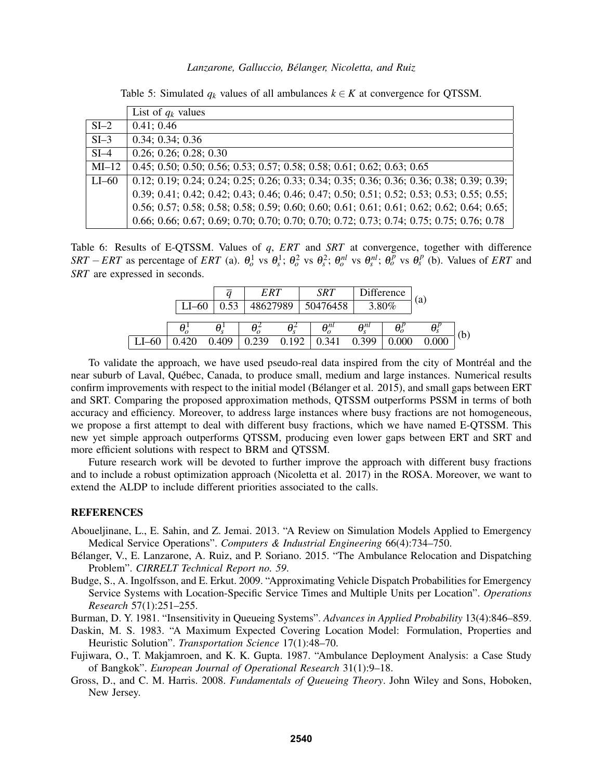|          | List of $q_k$ values                                                                        |
|----------|---------------------------------------------------------------------------------------------|
| $SI-2$   | 0.41; 0.46                                                                                  |
| $SI-3$   | 0.34; 0.34; 0.36                                                                            |
| $SI-4$   | 0.26; 0.26; 0.28; 0.30                                                                      |
| $MI-12$  | $0.45; 0.50; 0.50; 0.56; 0.53; 0.57; 0.58; 0.58; 0.61; 0.62; 0.63; 0.65$                    |
| $LI$ –60 | 0.12; 0.19; 0.24; 0.24; 0.25; 0.26; 0.33; 0.34; 0.35; 0.36; 0.36; 0.36; 0.38; 0.39; 0.39;   |
|          | 0.39; 0.41; 0.42; 0.42; 0.43; 0.46; 0.46; 0.47; 0.50; 0.51; 0.52; 0.53; 0.53; 0.55; 0.55;   |
|          | $0.56; 0.57; 0.58; 0.58; 0.58; 0.59; 0.60; 0.60; 0.61; 0.61; 0.61; 0.62; 0.62; 0.64; 0.65;$ |
|          | 0.66; 0.66; 0.67; 0.69; 0.70; 0.70; 0.70; 0.70; 0.72; 0.73; 0.74; 0.75; 0.75; 0.76; 0.78    |

Table 5: Simulated  $q_k$  values of all ambulances  $k \in K$  at convergence for QTSSM.

Table 6: Results of E-QTSSM. Values of *q*, *ERT* and *SRT* at convergence, together with difference SRT – ERT as percentage of ERT (a).  $\theta_o^1$  vs  $\theta_s^1$ ;  $\theta_o^2$  vs  $\theta_s^2$ ;  $\theta_o^{nl}$  vs  $\theta_s^{nl}$ ;  $\theta_o^p$  vs  $\theta_s^p$  (b). Values of ERT and *SRT* are expressed in seconds.

|       |  |       | ERT      |       | SRT                   |               | Difference |       |     |
|-------|--|-------|----------|-------|-----------------------|---------------|------------|-------|-----|
|       |  | 52    | 48627989 |       | 50476458              |               | 3.80%      | (a)   |     |
|       |  |       |          |       | $\theta_{\circ}^{nl}$ | $\theta^{nl}$ |            |       |     |
| $-60$ |  | 0.409 | 0.239    | 0.192 | 0.341                 | 0.399         | 0.000      | 0.000 | (b) |

To validate the approach, we have used pseudo-real data inspired from the city of Montréal and the near suburb of Laval, Quebec, Canada, to produce small, medium and large instances. Numerical results ´ confirm improvements with respect to the initial model (Bélanger et al. 2015), and small gaps between ERT and SRT. Comparing the proposed approximation methods, QTSSM outperforms PSSM in terms of both accuracy and efficiency. Moreover, to address large instances where busy fractions are not homogeneous, we propose a first attempt to deal with different busy fractions, which we have named E-QTSSM. This new yet simple approach outperforms QTSSM, producing even lower gaps between ERT and SRT and more efficient solutions with respect to BRM and QTSSM.

Future research work will be devoted to further improve the approach with different busy fractions and to include a robust optimization approach (Nicoletta et al. 2017) in the ROSA. Moreover, we want to extend the ALDP to include different priorities associated to the calls.

## REFERENCES

- Aboueljinane, L., E. Sahin, and Z. Jemai. 2013. "A Review on Simulation Models Applied to Emergency Medical Service Operations". *Computers & Industrial Engineering* 66(4):734–750.
- Belanger, V., E. Lanzarone, A. Ruiz, and P. Soriano. 2015. "The Ambulance Relocation and Dispatching ´ Problem". *CIRRELT Technical Report no. 59*.
- Budge, S., A. Ingolfsson, and E. Erkut. 2009. "Approximating Vehicle Dispatch Probabilities for Emergency Service Systems with Location-Specific Service Times and Multiple Units per Location". *Operations Research* 57(1):251–255.
- Burman, D. Y. 1981. "Insensitivity in Queueing Systems". *Advances in Applied Probability* 13(4):846–859.
- Daskin, M. S. 1983. "A Maximum Expected Covering Location Model: Formulation, Properties and Heuristic Solution". *Transportation Science* 17(1):48–70.
- Fujiwara, O., T. Makjamroen, and K. K. Gupta. 1987. "Ambulance Deployment Analysis: a Case Study of Bangkok". *European Journal of Operational Research* 31(1):9–18.
- Gross, D., and C. M. Harris. 2008. *Fundamentals of Queueing Theory*. John Wiley and Sons, Hoboken, New Jersey.